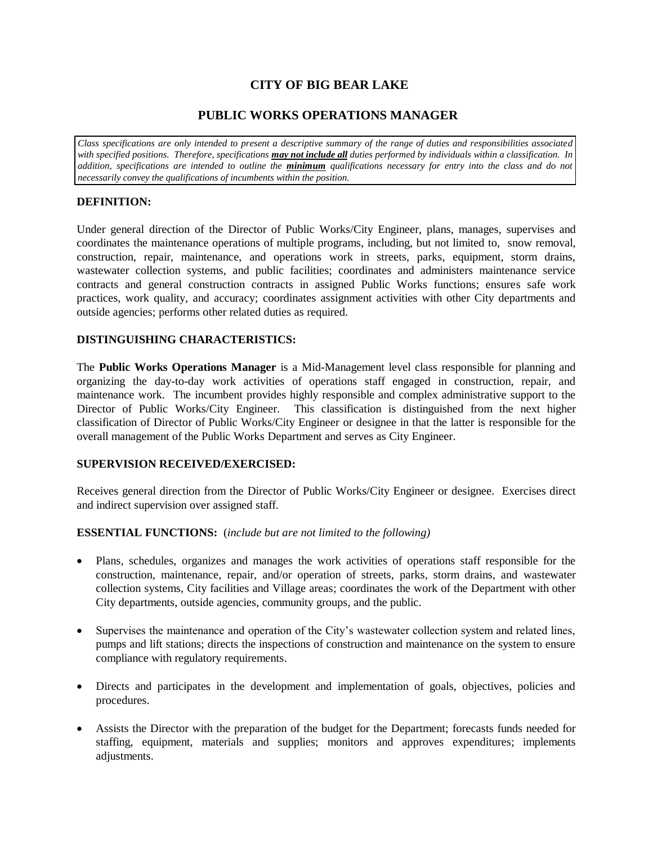# **CITY OF BIG BEAR LAKE**

# **PUBLIC WORKS OPERATIONS MANAGER**

*Class specifications are only intended to present a descriptive summary of the range of duties and responsibilities associated with specified positions. Therefore, specifications may not include all duties performed by individuals within a classification. In addition, specifications are intended to outline the minimum qualifications necessary for entry into the class and do not necessarily convey the qualifications of incumbents within the position.*

## **DEFINITION:**

Under general direction of the Director of Public Works/City Engineer, plans, manages, supervises and coordinates the maintenance operations of multiple programs, including, but not limited to, snow removal, construction, repair, maintenance, and operations work in streets, parks, equipment, storm drains, wastewater collection systems, and public facilities; coordinates and administers maintenance service contracts and general construction contracts in assigned Public Works functions; ensures safe work practices, work quality, and accuracy; coordinates assignment activities with other City departments and outside agencies; performs other related duties as required.

## **DISTINGUISHING CHARACTERISTICS:**

The **Public Works Operations Manager** is a Mid-Management level class responsible for planning and organizing the day-to-day work activities of operations staff engaged in construction, repair, and maintenance work. The incumbent provides highly responsible and complex administrative support to the Director of Public Works/City Engineer. This classification is distinguished from the next higher classification of Director of Public Works/City Engineer or designee in that the latter is responsible for the overall management of the Public Works Department and serves as City Engineer.

## **SUPERVISION RECEIVED/EXERCISED:**

Receives general direction from the Director of Public Works/City Engineer or designee. Exercises direct and indirect supervision over assigned staff.

#### **ESSENTIAL FUNCTIONS:** (*include but are not limited to the following)*

- Plans, schedules, organizes and manages the work activities of operations staff responsible for the construction, maintenance, repair, and/or operation of streets, parks, storm drains, and wastewater collection systems, City facilities and Village areas; coordinates the work of the Department with other City departments, outside agencies, community groups, and the public.
- Supervises the maintenance and operation of the City's wastewater collection system and related lines, pumps and lift stations; directs the inspections of construction and maintenance on the system to ensure compliance with regulatory requirements.
- Directs and participates in the development and implementation of goals, objectives, policies and procedures.
- Assists the Director with the preparation of the budget for the Department; forecasts funds needed for staffing, equipment, materials and supplies; monitors and approves expenditures; implements adjustments.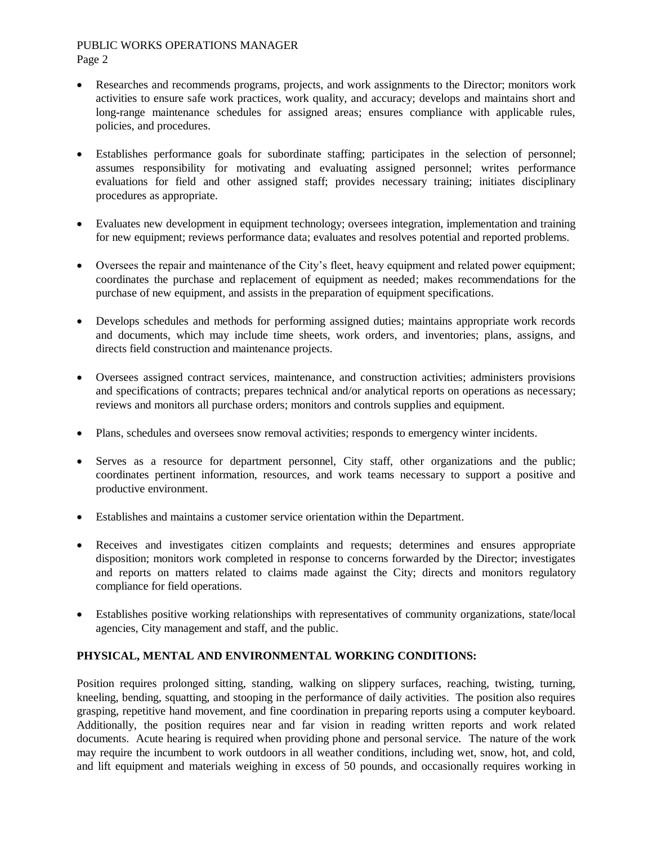### PUBLIC WORKS OPERATIONS MANAGER Page 2

- Researches and recommends programs, projects, and work assignments to the Director; monitors work activities to ensure safe work practices, work quality, and accuracy; develops and maintains short and long-range maintenance schedules for assigned areas; ensures compliance with applicable rules, policies, and procedures.
- Establishes performance goals for subordinate staffing; participates in the selection of personnel; assumes responsibility for motivating and evaluating assigned personnel; writes performance evaluations for field and other assigned staff; provides necessary training; initiates disciplinary procedures as appropriate.
- Evaluates new development in equipment technology; oversees integration, implementation and training for new equipment; reviews performance data; evaluates and resolves potential and reported problems.
- Oversees the repair and maintenance of the City's fleet, heavy equipment and related power equipment; coordinates the purchase and replacement of equipment as needed; makes recommendations for the purchase of new equipment, and assists in the preparation of equipment specifications.
- Develops schedules and methods for performing assigned duties; maintains appropriate work records and documents, which may include time sheets, work orders, and inventories; plans, assigns, and directs field construction and maintenance projects.
- Oversees assigned contract services, maintenance, and construction activities; administers provisions and specifications of contracts; prepares technical and/or analytical reports on operations as necessary; reviews and monitors all purchase orders; monitors and controls supplies and equipment.
- Plans, schedules and oversees snow removal activities; responds to emergency winter incidents.
- Serves as a resource for department personnel, City staff, other organizations and the public; coordinates pertinent information, resources, and work teams necessary to support a positive and productive environment.
- Establishes and maintains a customer service orientation within the Department.
- Receives and investigates citizen complaints and requests; determines and ensures appropriate disposition; monitors work completed in response to concerns forwarded by the Director; investigates and reports on matters related to claims made against the City; directs and monitors regulatory compliance for field operations.
- Establishes positive working relationships with representatives of community organizations, state/local agencies, City management and staff, and the public.

## **PHYSICAL, MENTAL AND ENVIRONMENTAL WORKING CONDITIONS:**

Position requires prolonged sitting, standing, walking on slippery surfaces, reaching, twisting, turning, kneeling, bending, squatting, and stooping in the performance of daily activities. The position also requires grasping, repetitive hand movement, and fine coordination in preparing reports using a computer keyboard. Additionally, the position requires near and far vision in reading written reports and work related documents. Acute hearing is required when providing phone and personal service. The nature of the work may require the incumbent to work outdoors in all weather conditions, including wet, snow, hot, and cold, and lift equipment and materials weighing in excess of 50 pounds, and occasionally requires working in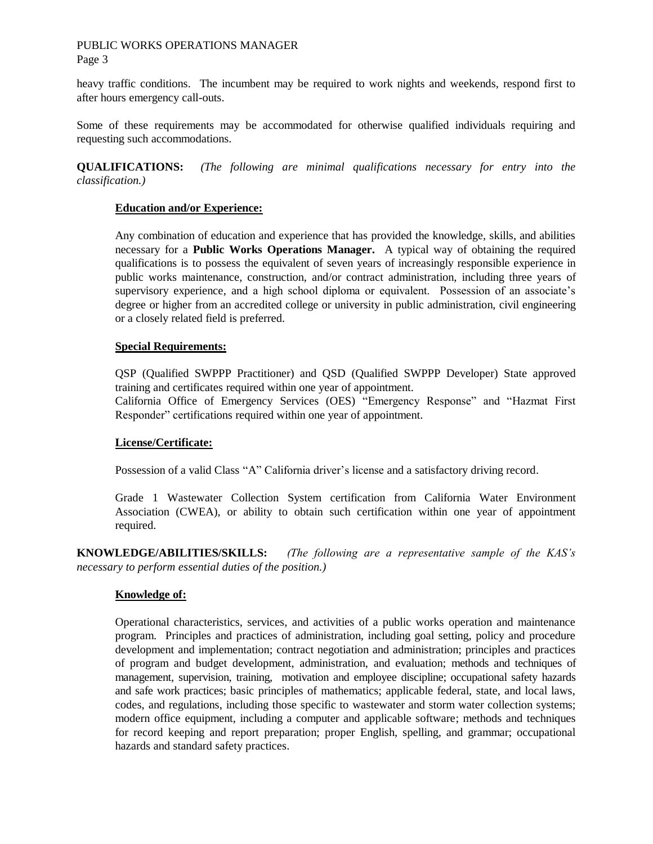### PUBLIC WORKS OPERATIONS MANAGER Page 3

heavy traffic conditions. The incumbent may be required to work nights and weekends, respond first to after hours emergency call-outs.

Some of these requirements may be accommodated for otherwise qualified individuals requiring and requesting such accommodations.

**QUALIFICATIONS:** *(The following are minimal qualifications necessary for entry into the classification.)*

## **Education and/or Experience:**

Any combination of education and experience that has provided the knowledge, skills, and abilities necessary for a **Public Works Operations Manager.** A typical way of obtaining the required qualifications is to possess the equivalent of seven years of increasingly responsible experience in public works maintenance, construction, and/or contract administration, including three years of supervisory experience, and a high school diploma or equivalent. Possession of an associate's degree or higher from an accredited college or university in public administration, civil engineering or a closely related field is preferred.

## **Special Requirements:**

QSP (Qualified SWPPP Practitioner) and QSD (Qualified SWPPP Developer) State approved training and certificates required within one year of appointment.

California Office of Emergency Services (OES) "Emergency Response" and "Hazmat First Responder" certifications required within one year of appointment.

## **License/Certificate:**

Possession of a valid Class "A" California driver's license and a satisfactory driving record.

Grade 1 Wastewater Collection System certification from California Water Environment Association (CWEA), or ability to obtain such certification within one year of appointment required.

**KNOWLEDGE/ABILITIES/SKILLS:** *(The following are a representative sample of the KAS's necessary to perform essential duties of the position.)* 

## **Knowledge of:**

Operational characteristics, services, and activities of a public works operation and maintenance program. Principles and practices of administration, including goal setting, policy and procedure development and implementation; contract negotiation and administration; principles and practices of program and budget development, administration, and evaluation; methods and techniques of management, supervision, training, motivation and employee discipline; occupational safety hazards and safe work practices; basic principles of mathematics; applicable federal, state, and local laws, codes, and regulations, including those specific to wastewater and storm water collection systems; modern office equipment, including a computer and applicable software; methods and techniques for record keeping and report preparation; proper English, spelling, and grammar; occupational hazards and standard safety practices.